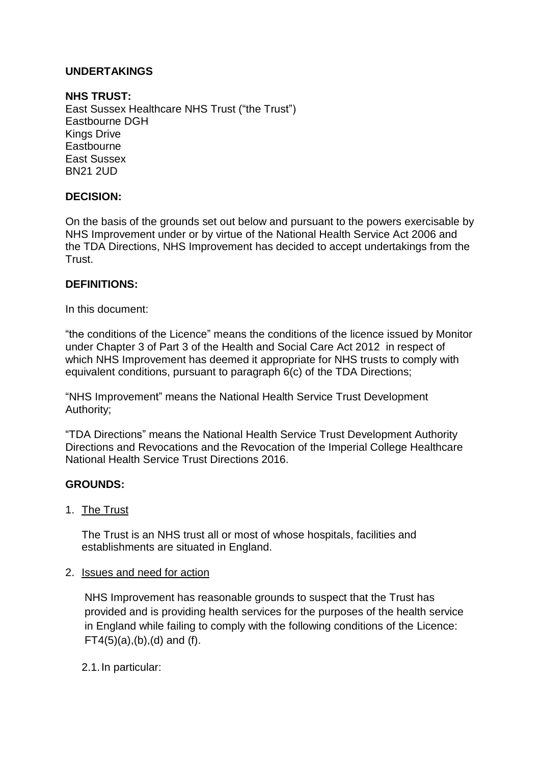# **UNDERTAKINGS**

### **NHS TRUST:**

East Sussex Healthcare NHS Trust ("the Trust") Eastbourne DGH Kings Drive **Eastbourne** East Sussex BN21 2UD

### **DECISION:**

On the basis of the grounds set out below and pursuant to the powers exercisable by NHS Improvement under or by virtue of the National Health Service Act 2006 and the TDA Directions, NHS Improvement has decided to accept undertakings from the Trust.

### **DEFINITIONS:**

In this document:

"the conditions of the Licence" means the conditions of the licence issued by Monitor under Chapter 3 of Part 3 of the Health and Social Care Act 2012 in respect of which NHS Improvement has deemed it appropriate for NHS trusts to comply with equivalent conditions, pursuant to paragraph 6(c) of the TDA Directions;

"NHS Improvement" means the National Health Service Trust Development Authority;

"TDA Directions" means the National Health Service Trust Development Authority Directions and Revocations and the Revocation of the Imperial College Healthcare National Health Service Trust Directions 2016.

#### **GROUNDS:**

1. The Trust

The Trust is an NHS trust all or most of whose hospitals, facilities and establishments are situated in England.

#### 2. Issues and need for action

NHS Improvement has reasonable grounds to suspect that the Trust has provided and is providing health services for the purposes of the health service in England while failing to comply with the following conditions of the Licence:  $FT4(5)(a)$ ,  $(b)$ ,  $(d)$  and  $(f)$ .

2.1.In particular: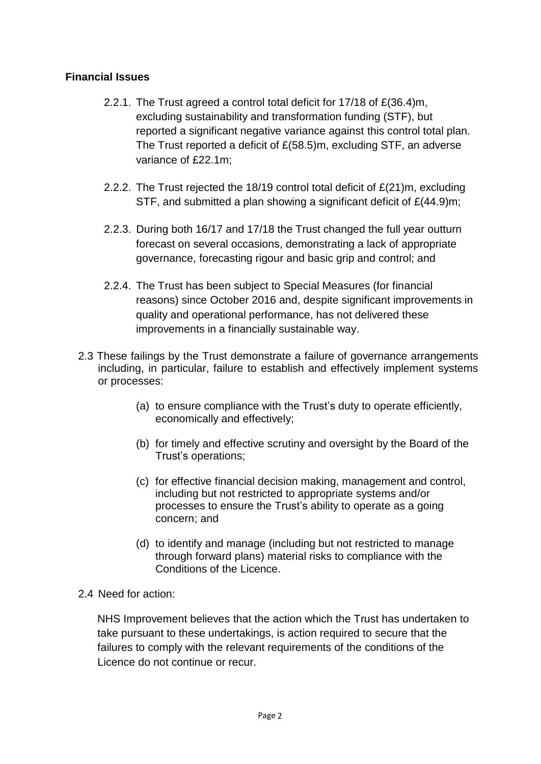# **Financial Issues**

- 2.2.1. The Trust agreed a control total deficit for 17/18 of £(36.4)m, excluding sustainability and transformation funding (STF), but reported a significant negative variance against this control total plan. The Trust reported a deficit of £(58.5)m, excluding STF, an adverse variance of £22.1m;
- 2.2.2. The Trust rejected the 18/19 control total deficit of £(21)m, excluding STF, and submitted a plan showing a significant deficit of £(44.9)m;
- 2.2.3. During both 16/17 and 17/18 the Trust changed the full year outturn forecast on several occasions, demonstrating a lack of appropriate governance, forecasting rigour and basic grip and control; and
- 2.2.4. The Trust has been subject to Special Measures (for financial reasons) since October 2016 and, despite significant improvements in quality and operational performance, has not delivered these improvements in a financially sustainable way.
- 2.3 These failings by the Trust demonstrate a failure of governance arrangements including, in particular, failure to establish and effectively implement systems or processes:
	- (a) to ensure compliance with the Trust's duty to operate efficiently, economically and effectively;
	- (b) for timely and effective scrutiny and oversight by the Board of the Trust's operations;
	- (c) for effective financial decision making, management and control, including but not restricted to appropriate systems and/or processes to ensure the Trust's ability to operate as a going concern; and
	- (d) to identify and manage (including but not restricted to manage through forward plans) material risks to compliance with the Conditions of the Licence.
- 2.4 Need for action:

NHS Improvement believes that the action which the Trust has undertaken to take pursuant to these undertakings, is action required to secure that the failures to comply with the relevant requirements of the conditions of the Licence do not continue or recur.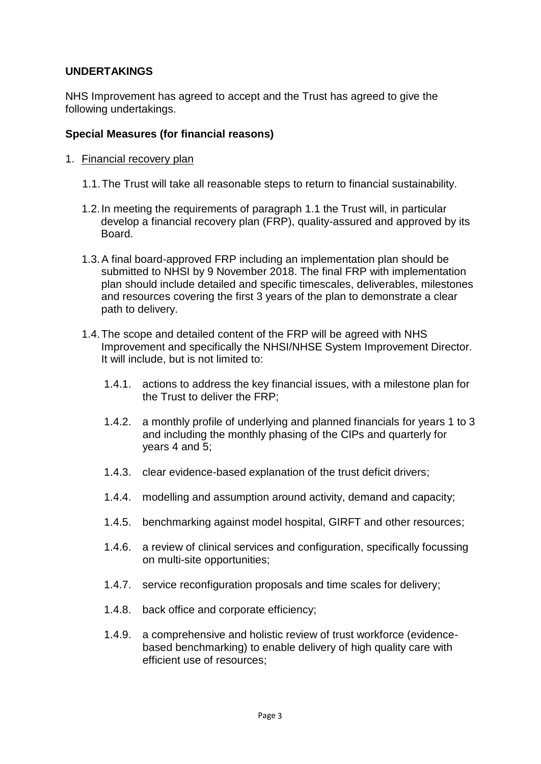### **UNDERTAKINGS**

NHS Improvement has agreed to accept and the Trust has agreed to give the following undertakings.

### **Special Measures (for financial reasons)**

- 1. Financial recovery plan
	- 1.1.The Trust will take all reasonable steps to return to financial sustainability.
	- 1.2.In meeting the requirements of paragraph 1.1 the Trust will, in particular develop a financial recovery plan (FRP), quality-assured and approved by its Board.
	- 1.3.A final board-approved FRP including an implementation plan should be submitted to NHSI by 9 November 2018. The final FRP with implementation plan should include detailed and specific timescales, deliverables, milestones and resources covering the first 3 years of the plan to demonstrate a clear path to delivery.
	- 1.4.The scope and detailed content of the FRP will be agreed with NHS Improvement and specifically the NHSI/NHSE System Improvement Director. It will include, but is not limited to:
		- 1.4.1. actions to address the key financial issues, with a milestone plan for the Trust to deliver the FRP;
		- 1.4.2. a monthly profile of underlying and planned financials for years 1 to 3 and including the monthly phasing of the CIPs and quarterly for years 4 and 5;
		- 1.4.3. clear evidence-based explanation of the trust deficit drivers;
		- 1.4.4. modelling and assumption around activity, demand and capacity;
		- 1.4.5. benchmarking against model hospital, GIRFT and other resources;
		- 1.4.6. a review of clinical services and configuration, specifically focussing on multi-site opportunities;
		- 1.4.7. service reconfiguration proposals and time scales for delivery;
		- 1.4.8. back office and corporate efficiency;
		- 1.4.9. a comprehensive and holistic review of trust workforce (evidencebased benchmarking) to enable delivery of high quality care with efficient use of resources;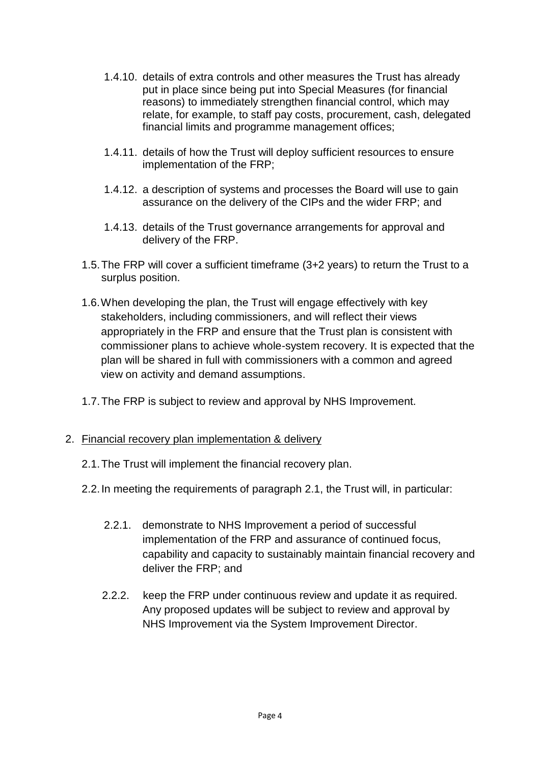- 1.4.10. details of extra controls and other measures the Trust has already put in place since being put into Special Measures (for financial reasons) to immediately strengthen financial control, which may relate, for example, to staff pay costs, procurement, cash, delegated financial limits and programme management offices;
- 1.4.11. details of how the Trust will deploy sufficient resources to ensure implementation of the FRP;
- 1.4.12. a description of systems and processes the Board will use to gain assurance on the delivery of the CIPs and the wider FRP; and
- 1.4.13. details of the Trust governance arrangements for approval and delivery of the FRP.
- 1.5.The FRP will cover a sufficient timeframe (3+2 years) to return the Trust to a surplus position.
- 1.6.When developing the plan, the Trust will engage effectively with key stakeholders, including commissioners, and will reflect their views appropriately in the FRP and ensure that the Trust plan is consistent with commissioner plans to achieve whole-system recovery. It is expected that the plan will be shared in full with commissioners with a common and agreed view on activity and demand assumptions.
- 1.7.The FRP is subject to review and approval by NHS Improvement.
- 2. Financial recovery plan implementation & delivery
	- 2.1.The Trust will implement the financial recovery plan.
	- 2.2.In meeting the requirements of paragraph 2.1, the Trust will, in particular:
		- 2.2.1. demonstrate to NHS Improvement a period of successful implementation of the FRP and assurance of continued focus, capability and capacity to sustainably maintain financial recovery and deliver the FRP; and
		- 2.2.2. keep the FRP under continuous review and update it as required. Any proposed updates will be subject to review and approval by NHS Improvement via the System Improvement Director.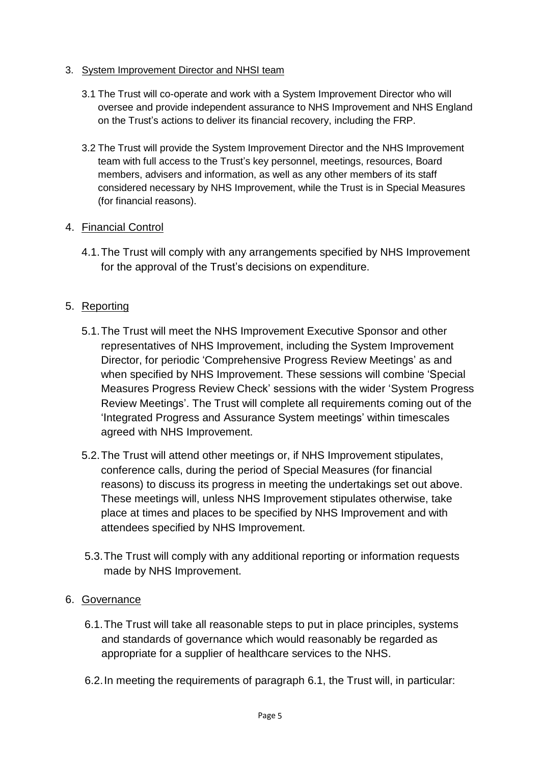### 3. System Improvement Director and NHSI team

- 3.1 The Trust will co-operate and work with a System Improvement Director who will oversee and provide independent assurance to NHS Improvement and NHS England on the Trust's actions to deliver its financial recovery, including the FRP.
- 3.2 The Trust will provide the System Improvement Director and the NHS Improvement team with full access to the Trust's key personnel, meetings, resources, Board members, advisers and information, as well as any other members of its staff considered necessary by NHS Improvement, while the Trust is in Special Measures (for financial reasons).

### 4. Financial Control

4.1.The Trust will comply with any arrangements specified by NHS Improvement for the approval of the Trust's decisions on expenditure.

# 5. Reporting

- 5.1.The Trust will meet the NHS Improvement Executive Sponsor and other representatives of NHS Improvement, including the System Improvement Director, for periodic 'Comprehensive Progress Review Meetings' as and when specified by NHS Improvement. These sessions will combine 'Special Measures Progress Review Check' sessions with the wider 'System Progress Review Meetings'. The Trust will complete all requirements coming out of the 'Integrated Progress and Assurance System meetings' within timescales agreed with NHS Improvement.
- 5.2.The Trust will attend other meetings or, if NHS Improvement stipulates, conference calls, during the period of Special Measures (for financial reasons) to discuss its progress in meeting the undertakings set out above. These meetings will, unless NHS Improvement stipulates otherwise, take place at times and places to be specified by NHS Improvement and with attendees specified by NHS Improvement.
- 5.3.The Trust will comply with any additional reporting or information requests made by NHS Improvement.

# 6. Governance

- 6.1.The Trust will take all reasonable steps to put in place principles, systems and standards of governance which would reasonably be regarded as appropriate for a supplier of healthcare services to the NHS.
- 6.2.In meeting the requirements of paragraph 6.1, the Trust will, in particular: